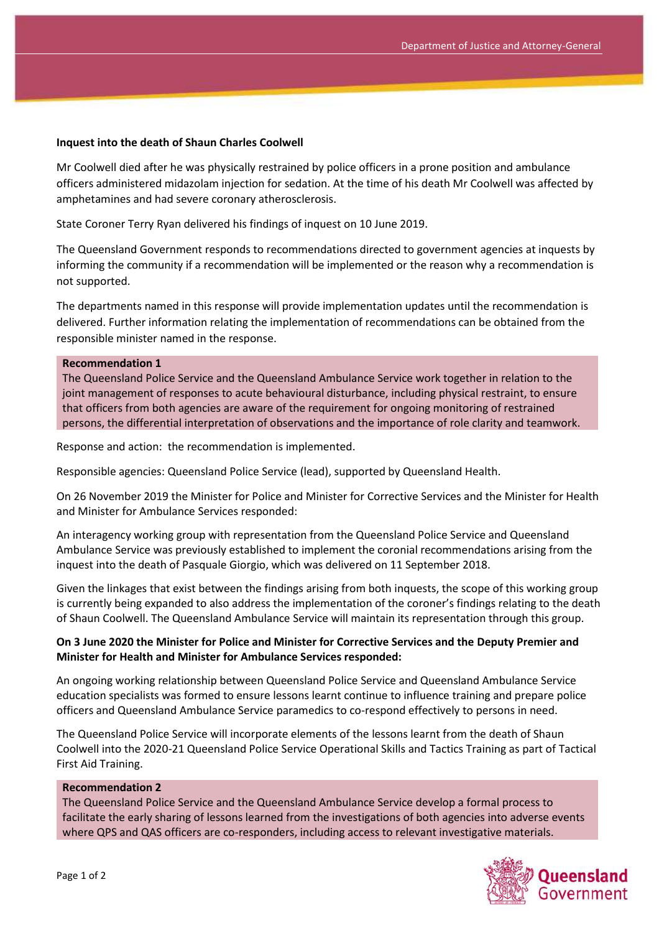### **Inquest into the death of Shaun Charles Coolwell**

Mr Coolwell died after he was physically restrained by police officers in a prone position and ambulance officers administered midazolam injection for sedation. At the time of his death Mr Coolwell was affected by amphetamines and had severe coronary atherosclerosis.

State Coroner Terry Ryan delivered his findings of inquest on 10 June 2019.

The Queensland Government responds to recommendations directed to government agencies at inquests by informing the community if a recommendation will be implemented or the reason why a recommendation is not supported.

The departments named in this response will provide implementation updates until the recommendation is delivered. Further information relating the implementation of recommendations can be obtained from the responsible minister named in the response.

### **Recommendation 1**

The Queensland Police Service and the Queensland Ambulance Service work together in relation to the joint management of responses to acute behavioural disturbance, including physical restraint, to ensure that officers from both agencies are aware of the requirement for ongoing monitoring of restrained persons, the differential interpretation of observations and the importance of role clarity and teamwork.

Response and action: the recommendation is implemented.

Responsible agencies: Queensland Police Service (lead), supported by Queensland Health.

On 26 November 2019 the Minister for Police and Minister for Corrective Services and the Minister for Health and Minister for Ambulance Services responded:

An interagency working group with representation from the Queensland Police Service and Queensland Ambulance Service was previously established to implement the coronial recommendations arising from the inquest into the death of Pasquale Giorgio, which was delivered on 11 September 2018.

Given the linkages that exist between the findings arising from both inquests, the scope of this working group is currently being expanded to also address the implementation of the coroner's findings relating to the death of Shaun Coolwell. The Queensland Ambulance Service will maintain its representation through this group.

## **On 3 June 2020 the Minister for Police and Minister for Corrective Services and the Deputy Premier and Minister for Health and Minister for Ambulance Services responded:**

An ongoing working relationship between Queensland Police Service and Queensland Ambulance Service education specialists was formed to ensure lessons learnt continue to influence training and prepare police officers and Queensland Ambulance Service paramedics to co-respond effectively to persons in need.

The Queensland Police Service will incorporate elements of the lessons learnt from the death of Shaun Coolwell into the 2020-21 Queensland Police Service Operational Skills and Tactics Training as part of Tactical First Aid Training.

### **Recommendation 2**

The Queensland Police Service and the Queensland Ambulance Service develop a formal process to facilitate the early sharing of lessons learned from the investigations of both agencies into adverse events where QPS and QAS officers are co-responders, including access to relevant investigative materials.